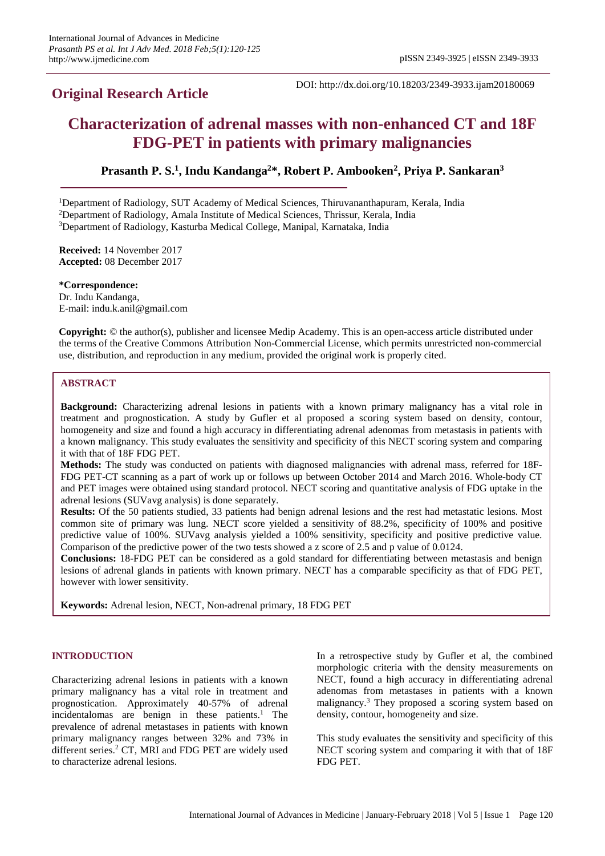# **Original Research Article**

DOI: http://dx.doi.org/10.18203/2349-3933.ijam20180069

# **Characterization of adrenal masses with non-enhanced CT and 18F FDG-PET in patients with primary malignancies**

**Prasanth P. S. 1 , Indu Kandanga<sup>2</sup>\*, Robert P. Ambooken<sup>2</sup> , Priya P. Sankaran 3**

<sup>1</sup>Department of Radiology, SUT Academy of Medical Sciences, Thiruvananthapuram, Kerala, India <sup>2</sup>Department of Radiology, Amala Institute of Medical Sciences, Thrissur, Kerala, India <sup>3</sup>Department of Radiology, Kasturba Medical College, Manipal, Karnataka, India

**Received:** 14 November 2017 **Accepted:** 08 December 2017

**\*Correspondence:** Dr. Indu Kandanga, E-mail: indu.k.anil@gmail.com

**Copyright:** © the author(s), publisher and licensee Medip Academy. This is an open-access article distributed under the terms of the Creative Commons Attribution Non-Commercial License, which permits unrestricted non-commercial use, distribution, and reproduction in any medium, provided the original work is properly cited.

# **ABSTRACT**

**Background:** Characterizing adrenal lesions in patients with a known primary malignancy has a vital role in treatment and prognostication. A study by Gufler et al proposed a scoring system based on density, contour, homogeneity and size and found a high accuracy in differentiating adrenal adenomas from metastasis in patients with a known malignancy. This study evaluates the sensitivity and specificity of this NECT scoring system and comparing it with that of 18F FDG PET.

**Methods:** The study was conducted on patients with diagnosed malignancies with adrenal mass, referred for 18F-FDG PET-CT scanning as a part of work up or follows up between October 2014 and March 2016. Whole-body CT and PET images were obtained using standard protocol. NECT scoring and quantitative analysis of FDG uptake in the adrenal lesions (SUVavg analysis) is done separately.

**Results:** Of the 50 patients studied, 33 patients had benign adrenal lesions and the rest had metastatic lesions. Most common site of primary was lung. NECT score yielded a sensitivity of 88.2%, specificity of 100% and positive predictive value of 100%. SUVavg analysis yielded a 100% sensitivity, specificity and positive predictive value. Comparison of the predictive power of the two tests showed a z score of 2.5 and p value of 0.0124.

**Conclusions:** 18-FDG PET can be considered as a gold standard for differentiating between metastasis and benign lesions of adrenal glands in patients with known primary. NECT has a comparable specificity as that of FDG PET, however with lower sensitivity.

**Keywords:** Adrenal lesion, NECT, Non-adrenal primary, 18 FDG PET

## **INTRODUCTION**

Characterizing adrenal lesions in patients with a known primary malignancy has a vital role in treatment and prognostication. Approximately 40-57% of adrenal incidentalomas are benign in these patients. <sup>1</sup> The prevalence of adrenal metastases in patients with known primary malignancy ranges between 32% and 73% in different series. <sup>2</sup> CT, MRI and FDG PET are widely used to characterize adrenal lesions.

In a retrospective study by Gufler et al, the combined morphologic criteria with the density measurements on NECT, found a high accuracy in differentiating adrenal adenomas from metastases in patients with a known malignancy.<sup>3</sup> They proposed a scoring system based on density, contour, homogeneity and size.

This study evaluates the sensitivity and specificity of this NECT scoring system and comparing it with that of 18F FDG PET.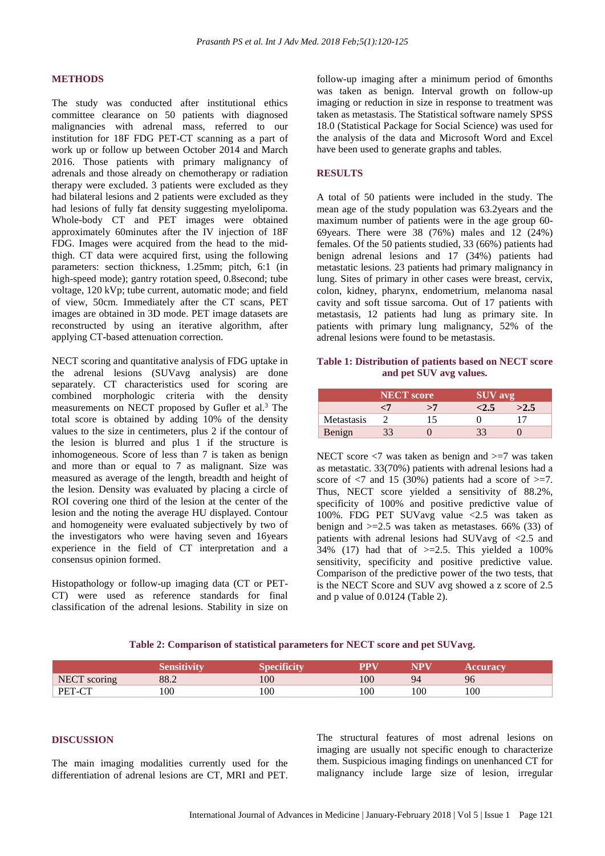#### **METHODS**

The study was conducted after institutional ethics committee clearance on 50 patients with diagnosed malignancies with adrenal mass, referred to our institution for 18F FDG PET-CT scanning as a part of work up or follow up between October 2014 and March 2016. Those patients with primary malignancy of adrenals and those already on chemotherapy or radiation therapy were excluded. 3 patients were excluded as they had bilateral lesions and 2 patients were excluded as they had lesions of fully fat density suggesting myelolipoma. Whole-body CT and PET images were obtained approximately 60minutes after the IV injection of 18F FDG. Images were acquired from the head to the midthigh. CT data were acquired first, using the following parameters: section thickness, 1.25mm; pitch, 6:1 (in high-speed mode); gantry rotation speed, 0.8second; tube voltage, 120 kVp; tube current, automatic mode; and field of view, 50cm. Immediately after the CT scans, PET images are obtained in 3D mode. PET image datasets are reconstructed by using an iterative algorithm, after applying CT-based attenuation correction.

NECT scoring and quantitative analysis of FDG uptake in the adrenal lesions (SUVavg analysis) are done separately. CT characteristics used for scoring are combined morphologic criteria with the density measurements on NECT proposed by Gufler et al. <sup>3</sup> The total score is obtained by adding 10% of the density values to the size in centimeters, plus 2 if the contour of the lesion is blurred and plus 1 if the structure is inhomogeneous. Score of less than 7 is taken as benign and more than or equal to 7 as malignant. Size was measured as average of the length, breadth and height of the lesion. Density was evaluated by placing a circle of ROI covering one third of the lesion at the center of the lesion and the noting the average HU displayed. Contour and homogeneity were evaluated subjectively by two of the investigators who were having seven and 16years experience in the field of CT interpretation and a consensus opinion formed.

Histopathology or follow-up imaging data (CT or PET-CT) were used as reference standards for final classification of the adrenal lesions. Stability in size on follow-up imaging after a minimum period of 6months was taken as benign. Interval growth on follow-up imaging or reduction in size in response to treatment was taken as metastasis. The Statistical software namely SPSS 18.0 (Statistical Package for Social Science) was used for the analysis of the data and Microsoft Word and Excel have been used to generate graphs and tables.

## **RESULTS**

A total of 50 patients were included in the study. The mean age of the study population was 63.2years and the maximum number of patients were in the age group 60- 69years. There were 38 (76%) males and 12 (24%) females. Of the 50 patients studied, 33 (66%) patients had benign adrenal lesions and 17 (34%) patients had metastatic lesions. 23 patients had primary malignancy in lung. Sites of primary in other cases were breast, cervix, colon, kidney, pharynx, endometrium, melanoma nasal cavity and soft tissue sarcoma. Out of 17 patients with metastasis, 12 patients had lung as primary site. In patients with primary lung malignancy, 52% of the adrenal lesions were found to be metastasis.

## **Table 1: Distribution of patients based on NECT score and pet SUV avg values.**

|            | NECT score |    | <b>SUV</b> avg |      |
|------------|------------|----|----------------|------|
|            | رس         | >7 | <2.5           | >2.5 |
| Metastasis |            |    |                |      |
| Benign     |            |    |                |      |

NECT score  $\langle 7 \rangle$  was taken as benign and  $\langle 7 \rangle$  was taken as metastatic. 33(70%) patients with adrenal lesions had a score of  $\langle 7 \rangle$  and 15 (30%) patients had a score of  $\langle \rangle = 7$ . Thus, NECT score yielded a sensitivity of 88.2%, specificity of 100% and positive predictive value of 100%. FDG PET SUVavg value <2.5 was taken as benign and  $>=2.5$  was taken as metastases. 66% (33) of patients with adrenal lesions had SUVavg of <2.5 and  $34\%$  (17) had that of  $>=$  2.5. This yielded a 100% sensitivity, specificity and positive predictive value. Comparison of the predictive power of the two tests, that is the NECT Score and SUV avg showed a z score of 2.5 and p value of 0.0124 (Table 2).

#### **Table 2: Comparison of statistical parameters for NECT score and pet SUVavg.**

|              |      |     |     |     | <b>ceuracy</b> |
|--------------|------|-----|-----|-----|----------------|
| NECT scoring | 88.2 | 100 | 100 |     | 96             |
| PET-CT       | 100  | 100 | 100 | 100 | 100            |

## **DISCUSSION**

The main imaging modalities currently used for the differentiation of adrenal lesions are CT, MRI and PET. The structural features of most adrenal lesions on imaging are usually not specific enough to characterize them. Suspicious imaging findings on unenhanced CT for malignancy include large size of lesion, irregular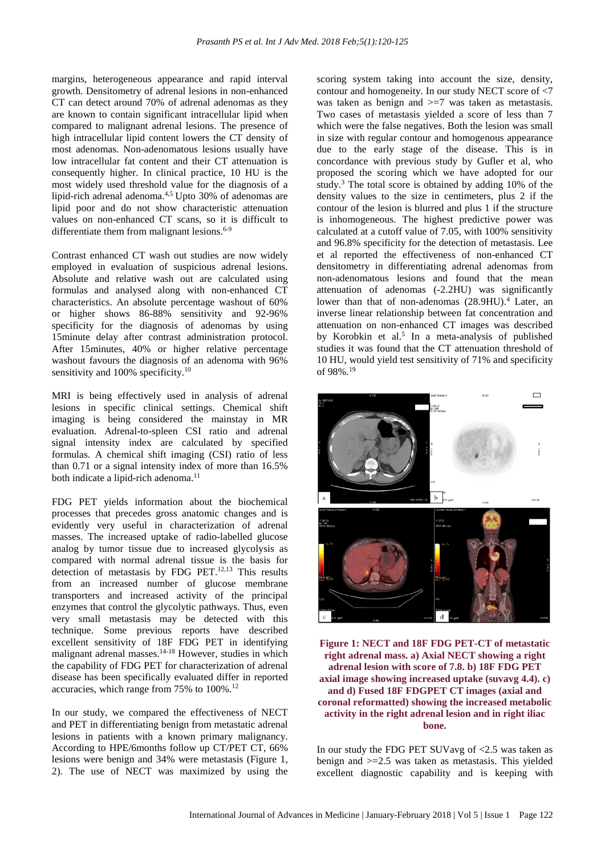margins, heterogeneous appearance and rapid interval growth. Densitometry of adrenal lesions in non-enhanced CT can detect around 70% of adrenal adenomas as they are known to contain significant intracellular lipid when compared to malignant adrenal lesions. The presence of high intracellular lipid content lowers the CT density of most adenomas. Non-adenomatous lesions usually have low intracellular fat content and their CT attenuation is consequently higher. In clinical practice, 10 HU is the most widely used threshold value for the diagnosis of a lipid-rich adrenal adenoma.<sup>4,5</sup> Upto 30% of adenomas are lipid poor and do not show characteristic attenuation values on non-enhanced CT scans, so it is difficult to differentiate them from malignant lesions.<sup>6-9</sup>

Contrast enhanced CT wash out studies are now widely employed in evaluation of suspicious adrenal lesions. Absolute and relative wash out are calculated using formulas and analysed along with non-enhanced CT characteristics. An absolute percentage washout of 60% or higher shows 86-88% sensitivity and 92-96% specificity for the diagnosis of adenomas by using 15minute delay after contrast administration protocol. After 15minutes, 40% or higher relative percentage washout favours the diagnosis of an adenoma with 96% sensitivity and 100% specificity.<sup>10</sup>

MRI is being effectively used in analysis of adrenal lesions in specific clinical settings. Chemical shift imaging is being considered the mainstay in MR evaluation. Adrenal-to-spleen CSI ratio and adrenal signal intensity index are calculated by specified formulas. A chemical shift imaging (CSI) ratio of less than 0.71 or a signal intensity index of more than 16.5% both indicate a lipid-rich adenoma. 11

FDG PET yields information about the biochemical processes that precedes gross anatomic changes and is evidently very useful in characterization of adrenal masses. The increased uptake of radio-labelled glucose analog by tumor tissue due to increased glycolysis as compared with normal adrenal tissue is the basis for detection of metastasis by FDG PET. $12,13$  This results from an increased number of glucose membrane transporters and increased activity of the principal enzymes that control the glycolytic pathways. Thus, even very small metastasis may be detected with this technique. Some previous reports have described excellent sensitivity of 18F FDG PET in identifying malignant adrenal masses.<sup>14-18</sup> However, studies in which the capability of FDG PET for characterization of adrenal disease has been specifically evaluated differ in reported accuracies, which range from 75% to 100%. 12

In our study, we compared the effectiveness of NECT and PET in differentiating benign from metastatic adrenal lesions in patients with a known primary malignancy. According to HPE/6months follow up CT/PET CT, 66% lesions were benign and 34% were metastasis (Figure 1, 2). The use of NECT was maximized by using the scoring system taking into account the size, density, contour and homogeneity. In our study NECT score of <7 was taken as benign and >=7 was taken as metastasis. Two cases of metastasis yielded a score of less than 7 which were the false negatives. Both the lesion was small in size with regular contour and homogenous appearance due to the early stage of the disease. This is in concordance with previous study by Gufler et al, who proposed the scoring which we have adopted for our study.<sup>3</sup> The total score is obtained by adding 10% of the density values to the size in centimeters, plus 2 if the contour of the lesion is blurred and plus 1 if the structure is inhomogeneous. The highest predictive power was calculated at a cutoff value of 7.05, with 100% sensitivity and 96.8% specificity for the detection of metastasis. Lee et al reported the effectiveness of non-enhanced CT densitometry in differentiating adrenal adenomas from non-adenomatous lesions and found that the mean attenuation of adenomas (-2.2HU) was significantly lower than that of non-adenomas (28.9HU).<sup>4</sup> Later, an inverse linear relationship between fat concentration and attenuation on non-enhanced CT images was described by Korobkin et al. 5 In a meta-analysis of published studies it was found that the CT attenuation threshold of 10 HU, would yield test sensitivity of 71% and specificity of 98%.<sup>19</sup>



**Figure 1: NECT and 18F FDG PET-CT of metastatic right adrenal mass. a) Axial NECT showing a right adrenal lesion with score of 7.8. b) 18F FDG PET axial image showing increased uptake (suvavg 4.4). c) and d) Fused 18F FDGPET CT images (axial and coronal reformatted) showing the increased metabolic activity in the right adrenal lesion and in right iliac bone.**

In our study the FDG PET SUVavg of <2.5 was taken as benign and >=2.5 was taken as metastasis. This yielded excellent diagnostic capability and is keeping with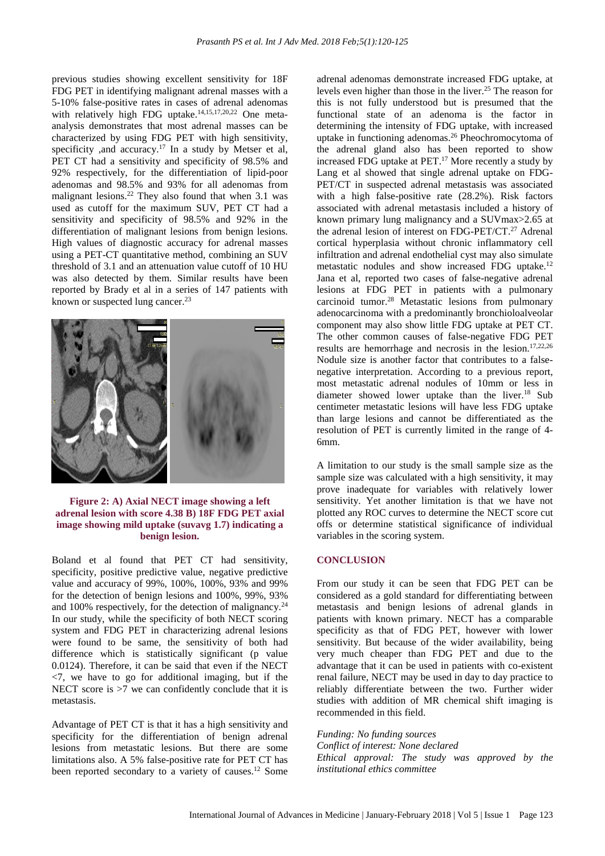previous studies showing excellent sensitivity for 18F FDG PET in identifying malignant adrenal masses with a 5-10% false-positive rates in cases of adrenal adenomas with relatively high FDG uptake. 14,15,17,20,22 One metaanalysis demonstrates that most adrenal masses can be characterized by using FDG PET with high sensitivity, specificity ,and accuracy.<sup>17</sup> In a study by Metser et al, PET CT had a sensitivity and specificity of 98.5% and 92% respectively, for the differentiation of lipid-poor adenomas and 98.5% and 93% for all adenomas from malignant lesions.<sup>22</sup> They also found that when  $3.1$  was used as cutoff for the maximum SUV, PET CT had a sensitivity and specificity of 98.5% and 92% in the differentiation of malignant lesions from benign lesions. High values of diagnostic accuracy for adrenal masses using a PET-CT quantitative method, combining an SUV threshold of 3.1 and an attenuation value cutoff of 10 HU was also detected by them. Similar results have been reported by Brady et al in a series of 147 patients with known or suspected lung cancer.<sup>23</sup>



#### **Figure 2: A) Axial NECT image showing a left adrenal lesion with score 4.38 B) 18F FDG PET axial image showing mild uptake (suvavg 1.7) indicating a benign lesion.**

Boland et al found that PET CT had sensitivity, specificity, positive predictive value, negative predictive value and accuracy of 99%, 100%, 100%, 93% and 99% for the detection of benign lesions and 100%, 99%, 93% and 100% respectively, for the detection of malignancy.<sup>24</sup> In our study, while the specificity of both NECT scoring system and FDG PET in characterizing adrenal lesions were found to be same, the sensitivity of both had difference which is statistically significant (p value) 0.0124). Therefore, it can be said that even if the NECT  $\langle 7,$  we have to go for additional imaging, but if the NECT score is  $>7$  we can confidently conclude that it is metastasis.

Advantage of PET CT is that it has a high sensitivity and specificity for the differentiation of benign adrenal lesions from metastatic lesions. But there are some limitations also. A 5% false-positive rate for PET CT has been reported secondary to a variety of causes.<sup>12</sup> Some

adrenal adenomas demonstrate increased FDG uptake, at levels even higher than those in the liver. <sup>25</sup> The reason for this is not fully understood but is presumed that the functional state of an adenoma is the factor in determining the intensity of FDG uptake, with increased uptake in functioning adenomas. <sup>26</sup> Pheochromocytoma of the adrenal gland also has been reported to show increased FDG uptake at PET. <sup>17</sup> More recently a study by Lang et al showed that single adrenal uptake on FDG-PET/CT in suspected adrenal metastasis was associated with a high false-positive rate (28.2%). Risk factors associated with adrenal metastasis included a history of known primary lung malignancy and a SUVmax>2.65 at the adrenal lesion of interest on FDG-PET/CT. <sup>27</sup> Adrenal cortical hyperplasia without chronic inflammatory cell infiltration and adrenal endothelial cyst may also simulate metastatic nodules and show increased FDG uptake. 12 Jana et al, reported two cases of false-negative adrenal lesions at FDG PET in patients with a pulmonary carcinoid tumor.<sup>28</sup> Metastatic lesions from pulmonary adenocarcinoma with a predominantly bronchioloalveolar component may also show little FDG uptake at PET CT. The other common causes of false-negative FDG PET results are hemorrhage and necrosis in the lesion. 17,22,26 Nodule size is another factor that contributes to a falsenegative interpretation. According to a previous report, most metastatic adrenal nodules of 10mm or less in diameter showed lower uptake than the liver.<sup>18</sup> Sub centimeter metastatic lesions will have less FDG uptake than large lesions and cannot be differentiated as the resolution of PET is currently limited in the range of 4- 6mm.

A limitation to our study is the small sample size as the sample size was calculated with a high sensitivity, it may prove inadequate for variables with relatively lower sensitivity. Yet another limitation is that we have not plotted any ROC curves to determine the NECT score cut offs or determine statistical significance of individual variables in the scoring system.

#### **CONCLUSION**

From our study it can be seen that FDG PET can be considered as a gold standard for differentiating between metastasis and benign lesions of adrenal glands in patients with known primary. NECT has a comparable specificity as that of FDG PET, however with lower sensitivity. But because of the wider availability, being very much cheaper than FDG PET and due to the advantage that it can be used in patients with co-existent renal failure, NECT may be used in day to day practice to reliably differentiate between the two. Further wider studies with addition of MR chemical shift imaging is recommended in this field.

*Funding: No funding sources Conflict of interest: None declared Ethical approval: The study was approved by the institutional ethics committee*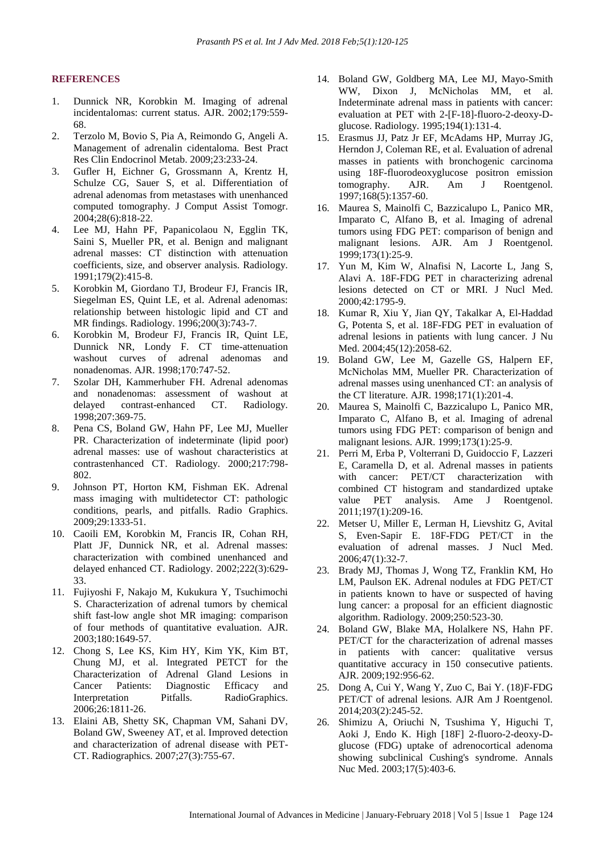#### **REFERENCES**

- 1. Dunnick NR, Korobkin M. Imaging of adrenal incidentalomas: current status. AJR. 2002;179:559- 68.
- 2. Terzolo M, Bovio S, Pia A, Reimondo G, Angeli A. Management of adrenalin cidentaloma. Best Pract Res Clin Endocrinol Metab. 2009;23:233-24.
- 3. Gufler H, Eichner G, Grossmann A, Krentz H, Schulze CG, Sauer S, et al. Differentiation of adrenal adenomas from metastases with unenhanced computed tomography. J Comput Assist Tomogr. 2004;28(6):818-22.
- 4. Lee MJ, Hahn PF, Papanicolaou N, Egglin TK, Saini S, Mueller PR, et al. Benign and malignant adrenal masses: CT distinction with attenuation coefficients, size, and observer analysis. Radiology. 1991;179(2):415-8.
- 5. Korobkin M, Giordano TJ, Brodeur FJ, Francis IR, Siegelman ES, Quint LE, et al. Adrenal adenomas: relationship between histologic lipid and CT and MR findings. Radiology. 1996;200(3):743-7.
- 6. Korobkin M, Brodeur FJ, Francis IR, Quint LE, Dunnick NR, Londy F. CT time-attenuation washout curves of adrenal adenomas and nonadenomas. AJR. 1998;170:747-52.
- 7. Szolar DH, Kammerhuber FH. Adrenal adenomas and nonadenomas: assessment of washout at delayed contrast-enhanced CT. Radiology. 1998;207:369-75.
- 8. Pena CS, Boland GW, Hahn PF, Lee MJ, Mueller PR. Characterization of indeterminate (lipid poor) adrenal masses: use of washout characteristics at contrastenhanced CT. Radiology. 2000;217:798- 802.
- 9. Johnson PT, Horton KM, Fishman EK. Adrenal mass imaging with multidetector CT: pathologic conditions, pearls, and pitfalls. Radio Graphics. 2009;29:1333-51.
- 10. Caoili EM, Korobkin M, Francis IR, Cohan RH, Platt JF, Dunnick NR, et al. Adrenal masses: characterization with combined unenhanced and delayed enhanced CT. Radiology. 2002;222(3):629- 33.
- 11. Fujiyoshi F, Nakajo M, Kukukura Y, Tsuchimochi S. Characterization of adrenal tumors by chemical shift fast-low angle shot MR imaging: comparison of four methods of quantitative evaluation. AJR. 2003;180:1649-57.
- 12. Chong S, Lee KS, Kim HY, Kim YK, Kim BT, Chung MJ, et al. Integrated PETCT for the Characterization of Adrenal Gland Lesions in Cancer Patients: Diagnostic Efficacy and Interpretation Pitfalls. RadioGraphics. 2006;26:1811-26.
- 13. Elaini AB, Shetty SK, Chapman VM, Sahani DV, Boland GW, Sweeney AT, et al. Improved detection and characterization of adrenal disease with PET-CT. Radiographics. 2007;27(3):755-67.
- 14. Boland GW, Goldberg MA, Lee MJ, Mayo-Smith WW, Dixon J, McNicholas MM, et al. Indeterminate adrenal mass in patients with cancer: evaluation at PET with 2-[F-18]-fluoro-2-deoxy-Dglucose. Radiology. 1995;194(1):131-4.
- 15. Erasmus JJ, Patz Jr EF, McAdams HP, Murray JG, Herndon J, Coleman RE, et al. Evaluation of adrenal masses in patients with bronchogenic carcinoma using 18F-fluorodeoxyglucose positron emission tomography. AJR. Am J Roentgenol. 1997;168(5):1357-60.
- 16. Maurea S, Mainolfi C, Bazzicalupo L, Panico MR, Imparato C, Alfano B, et al. Imaging of adrenal tumors using FDG PET: comparison of benign and malignant lesions. AJR. Am J Roentgenol. 1999;173(1):25-9.
- 17. Yun M, Kim W, Alnafisi N, Lacorte L, Jang S, Alavi A. 18F-FDG PET in characterizing adrenal lesions detected on CT or MRI. J Nucl Med. 2000;42:1795-9.
- 18. Kumar R, Xiu Y, Jian QY, Takalkar A, El-Haddad G, Potenta S, et al. 18F-FDG PET in evaluation of adrenal lesions in patients with lung cancer. J Nu Med. 2004;45(12):2058-62.
- 19. Boland GW, Lee M, Gazelle GS, Halpern EF, McNicholas MM, Mueller PR. Characterization of adrenal masses using unenhanced CT: an analysis of the CT literature. AJR. 1998;171(1):201-4.
- 20. Maurea S, Mainolfi C, Bazzicalupo L, Panico MR, Imparato C, Alfano B, et al. Imaging of adrenal tumors using FDG PET: comparison of benign and malignant lesions. AJR. 1999;173(1):25-9.
- 21. Perri M, Erba P, Volterrani D, Guidoccio F, Lazzeri E, Caramella D, et al. Adrenal masses in patients with cancer: PET/CT characterization with combined CT histogram and standardized uptake value PET analysis. Ame J Roentgenol. 2011;197(1):209-16.
- 22. Metser U, Miller E, Lerman H, Lievshitz G, Avital S, Even-Sapir E. 18F-FDG PET/CT in the evaluation of adrenal masses. J Nucl Med. 2006;47(1):32-7.
- 23. Brady MJ, Thomas J, Wong TZ, Franklin KM, Ho LM, Paulson EK. Adrenal nodules at FDG PET/CT in patients known to have or suspected of having lung cancer: a proposal for an efficient diagnostic algorithm. Radiology. 2009;250:523-30.
- 24. Boland GW, Blake MA, Holalkere NS, Hahn PF. PET/CT for the characterization of adrenal masses in patients with cancer: qualitative versus quantitative accuracy in 150 consecutive patients. AJR. 2009;192:956-62.
- 25. Dong A, Cui Y, Wang Y, Zuo C, Bai Y. (18)F-FDG PET/CT of adrenal lesions. AJR Am J Roentgenol. 2014;203(2):245-52.
- 26. Shimizu A, Oriuchi N, Tsushima Y, Higuchi T, Aoki J, Endo K. High [18F] 2-fluoro-2-deoxy-Dglucose (FDG) uptake of adrenocortical adenoma showing subclinical Cushing's syndrome. Annals Nuc Med. 2003;17(5):403-6.